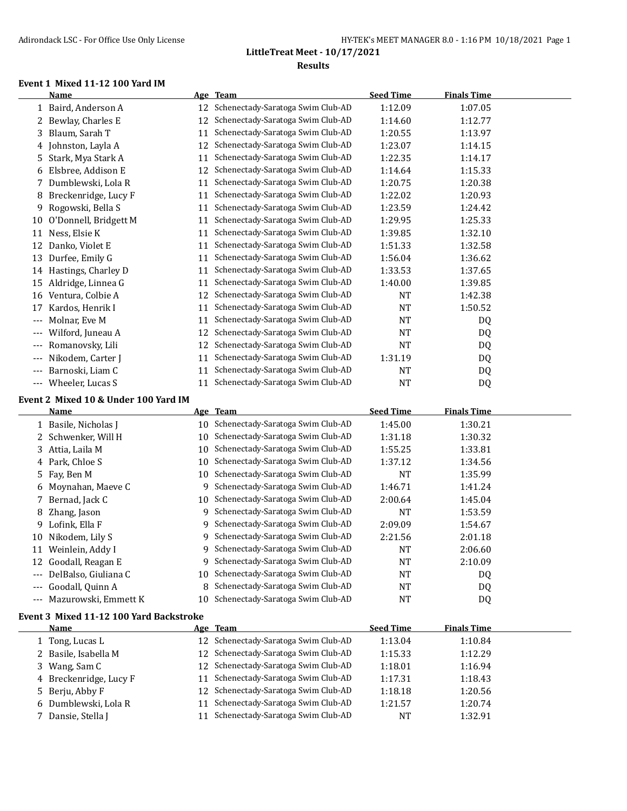#### **Event 1 Mixed 11-12 100 Yard IM**

|       | <b>Name</b>                             |    | Age Team                                                                  | <b>Seed Time</b> | <b>Finals Time</b> |  |
|-------|-----------------------------------------|----|---------------------------------------------------------------------------|------------------|--------------------|--|
|       | 1 Baird, Anderson A                     |    | 12 Schenectady-Saratoga Swim Club-AD                                      | 1:12.09          | 1:07.05            |  |
| 2     | Bewlay, Charles E                       | 12 | Schenectady-Saratoga Swim Club-AD                                         | 1:14.60          | 1:12.77            |  |
| 3     | Blaum, Sarah T                          | 11 | Schenectady-Saratoga Swim Club-AD                                         | 1:20.55          | 1:13.97            |  |
|       | 4 Johnston, Layla A                     | 12 | Schenectady-Saratoga Swim Club-AD                                         | 1:23.07          | 1:14.15            |  |
| 5     | Stark, Mya Stark A                      | 11 | Schenectady-Saratoga Swim Club-AD                                         | 1:22.35          | 1:14.17            |  |
| 6     | Elsbree, Addison E                      | 12 | Schenectady-Saratoga Swim Club-AD                                         | 1:14.64          | 1:15.33            |  |
| 7     | Dumblewski, Lola R                      | 11 | Schenectady-Saratoga Swim Club-AD                                         | 1:20.75          | 1:20.38            |  |
| 8     | Breckenridge, Lucy F                    | 11 | Schenectady-Saratoga Swim Club-AD                                         | 1:22.02          | 1:20.93            |  |
| 9     | Rogowski, Bella S                       | 11 | Schenectady-Saratoga Swim Club-AD                                         | 1:23.59          | 1:24.42            |  |
| 10    | O'Donnell, Bridgett M                   | 11 | Schenectady-Saratoga Swim Club-AD                                         | 1:29.95          | 1:25.33            |  |
| 11    | Ness, Elsie K                           | 11 | Schenectady-Saratoga Swim Club-AD                                         | 1:39.85          | 1:32.10            |  |
|       | 12 Danko, Violet E                      | 11 | Schenectady-Saratoga Swim Club-AD                                         | 1:51.33          | 1:32.58            |  |
| 13    | Durfee, Emily G                         | 11 | Schenectady-Saratoga Swim Club-AD                                         | 1:56.04          | 1:36.62            |  |
|       | 14 Hastings, Charley D                  | 11 | Schenectady-Saratoga Swim Club-AD                                         | 1:33.53          | 1:37.65            |  |
| 15    | Aldridge, Linnea G                      | 11 | Schenectady-Saratoga Swim Club-AD                                         | 1:40.00          | 1:39.85            |  |
|       | 16 Ventura, Colbie A                    | 12 | Schenectady-Saratoga Swim Club-AD                                         | <b>NT</b>        | 1:42.38            |  |
| 17    | Kardos, Henrik I                        | 11 | Schenectady-Saratoga Swim Club-AD                                         | <b>NT</b>        | 1:50.52            |  |
| ---   | Molnar, Eve M                           | 11 | Schenectady-Saratoga Swim Club-AD                                         | <b>NT</b>        | DQ                 |  |
| ---   | Wilford, Juneau A                       | 12 | Schenectady-Saratoga Swim Club-AD                                         | <b>NT</b>        | DQ                 |  |
|       | Romanovsky, Lili                        | 12 | Schenectady-Saratoga Swim Club-AD                                         | <b>NT</b>        | DQ                 |  |
| $---$ | Nikodem, Carter J                       | 11 | Schenectady-Saratoga Swim Club-AD                                         | 1:31.19          | DQ                 |  |
| $---$ | Barnoski, Liam C                        | 11 | Schenectady-Saratoga Swim Club-AD                                         | NT               | DQ                 |  |
|       | --- Wheeler, Lucas S                    | 11 | Schenectady-Saratoga Swim Club-AD                                         | <b>NT</b>        | DQ                 |  |
|       |                                         |    |                                                                           |                  |                    |  |
|       |                                         |    |                                                                           |                  |                    |  |
|       | Event 2 Mixed 10 & Under 100 Yard IM    |    |                                                                           |                  |                    |  |
|       | <b>Name</b>                             |    | Age Team                                                                  | <b>Seed Time</b> | <b>Finals Time</b> |  |
|       | 1 Basile, Nicholas J                    | 10 | Schenectady-Saratoga Swim Club-AD                                         | 1:45.00          | 1:30.21            |  |
| 2     | Schwenker, Will H                       | 10 | Schenectady-Saratoga Swim Club-AD                                         | 1:31.18          | 1:30.32            |  |
| 3     | Attia, Laila M                          | 10 | Schenectady-Saratoga Swim Club-AD                                         | 1:55.25          | 1:33.81            |  |
| 4     | Park, Chloe S                           | 10 | Schenectady-Saratoga Swim Club-AD                                         | 1:37.12          | 1:34.56            |  |
| 5     | Fay, Ben M                              | 10 | Schenectady-Saratoga Swim Club-AD                                         | NT               | 1:35.99            |  |
| 6     | Moynahan, Maeve C                       | 9  | Schenectady-Saratoga Swim Club-AD                                         | 1:46.71          | 1:41.24            |  |
| 7     | Bernad, Jack C                          | 10 | Schenectady-Saratoga Swim Club-AD                                         | 2:00.64          | 1:45.04            |  |
| 8     | Zhang, Jason                            |    | 9 Schenectady-Saratoga Swim Club-AD                                       | <b>NT</b>        | 1:53.59            |  |
| 9     | Lofink, Ella F                          | 9. | Schenectady-Saratoga Swim Club-AD                                         | 2:09.09          | 1:54.67            |  |
| 10    | Nikodem, Lily S                         |    | 9 Schenectady-Saratoga Swim Club-AD                                       | 2:21.56          | 2:01.18            |  |
|       | 11 Weinlein, Addy I                     |    | 9 Schenectady-Saratoga Swim Club-AD                                       | <b>NT</b>        | 2:06.60            |  |
|       | 12 Goodall, Reagan E                    |    | 9 Schenectady-Saratoga Swim Club-AD                                       | NT               | 2:10.09            |  |
|       | --- DelBalso, Giuliana C                | 10 | Schenectady-Saratoga Swim Club-AD                                         | NT               | DQ                 |  |
| ---   | Goodall, Quinn A                        | 8  | Schenectady-Saratoga Swim Club-AD                                         | NT               | DQ                 |  |
| ---   | Mazurowski, Emmett K                    | 10 | Schenectady-Saratoga Swim Club-AD                                         | <b>NT</b>        | DQ                 |  |
|       | Event 3 Mixed 11-12 100 Yard Backstroke |    |                                                                           |                  |                    |  |
|       | <u>Name</u>                             |    | Age Team                                                                  | <b>Seed Time</b> | <b>Finals Time</b> |  |
|       | 1 Tong, Lucas L                         |    | 12 Schenectady-Saratoga Swim Club-AD                                      | 1:13.04          | 1:10.84            |  |
| 2     | Basile, Isabella M                      | 12 | Schenectady-Saratoga Swim Club-AD                                         | 1:15.33          | 1:12.29            |  |
| 3     | Wang, Sam C                             | 12 | Schenectady-Saratoga Swim Club-AD                                         | 1:18.01          | 1:16.94            |  |
| 4     | Breckenridge, Lucy F                    | 11 | Schenectady-Saratoga Swim Club-AD<br>12 Schenectady-Saratoga Swim Club-AD | 1:17.31          | 1:18.43            |  |

 Dumblewski, Lola R 11 Schenectady-Saratoga Swim Club-AD 1:21.57 1:20.74 7 Dansie, Stella J 11 Schenectady-Saratoga Swim Club-AD NT 1:32.91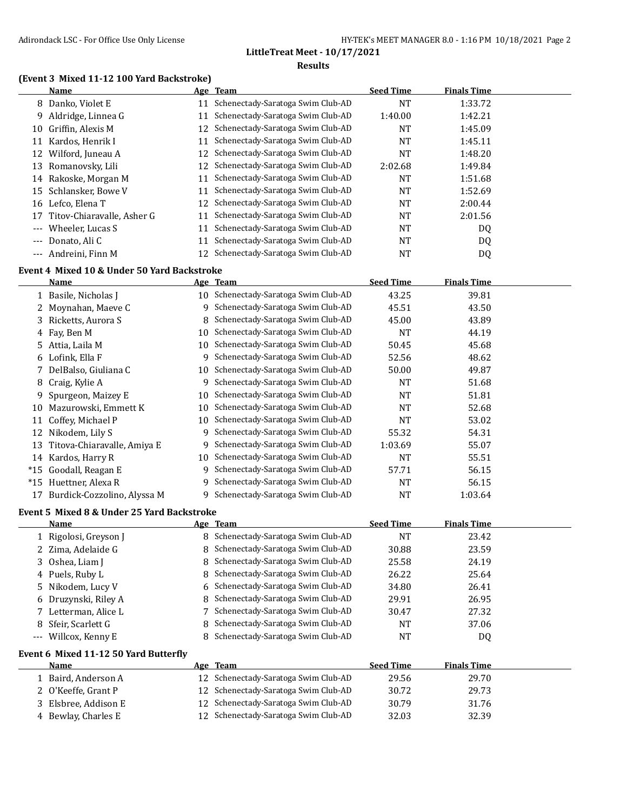#### **(Event 3 Mixed 11-12 100 Yard Backstroke)**

|                   | Name                       |    | Age Team                             | <b>Seed Time</b> | <b>Finals Time</b> |  |
|-------------------|----------------------------|----|--------------------------------------|------------------|--------------------|--|
|                   | 8 Danko, Violet E          | 11 | Schenectady-Saratoga Swim Club-AD    | <b>NT</b>        | 1:33.72            |  |
| 9.                | Aldridge, Linnea G         |    | Schenectady-Saratoga Swim Club-AD    | 1:40.00          | 1:42.21            |  |
| 10                | Griffin, Alexis M          | 12 | Schenectady-Saratoga Swim Club-AD    | <b>NT</b>        | 1:45.09            |  |
| 11                | Kardos, Henrik I           | 11 | Schenectady-Saratoga Swim Club-AD    | <b>NT</b>        | 1:45.11            |  |
| 12                | Wilford, Juneau A          | 12 | Schenectady-Saratoga Swim Club-AD    | <b>NT</b>        | 1:48.20            |  |
| 13                | Romanovsky, Lili           |    | 12 Schenectady-Saratoga Swim Club-AD | 2:02.68          | 1:49.84            |  |
| 14                | Rakoske, Morgan M          | 11 | Schenectady-Saratoga Swim Club-AD    | <b>NT</b>        | 1:51.68            |  |
| 15                | Schlansker, Bowe V         | 11 | Schenectady-Saratoga Swim Club-AD    | <b>NT</b>        | 1:52.69            |  |
| 16                | Lefco. Elena T             | 12 | Schenectady-Saratoga Swim Club-AD    | NT               | 2:00.44            |  |
| 17                | Titov-Chiaravalle, Asher G |    | Schenectady-Saratoga Swim Club-AD    | <b>NT</b>        | 2:01.56            |  |
| $---$             | Wheeler, Lucas S           | 11 | Schenectady-Saratoga Swim Club-AD    | <b>NT</b>        | DQ                 |  |
| $\qquad \qquad -$ | Donato, Ali C              | 11 | Schenectady-Saratoga Swim Club-AD    | <b>NT</b>        | DQ                 |  |
| $---$             | Andreini, Finn M           |    | 12 Schenectady-Saratoga Swim Club-AD | NT               | DQ                 |  |

#### **Event 4 Mixed 10 & Under 50 Yard Backstroke**

|       | Name                        |    | Age Team                             | <b>Seed Time</b> | <b>Finals Time</b> |  |
|-------|-----------------------------|----|--------------------------------------|------------------|--------------------|--|
|       | 1 Basile, Nicholas J        |    | 10 Schenectady-Saratoga Swim Club-AD | 43.25            | 39.81              |  |
|       | 2 Moynahan, Maeye C         | 9  | Schenectady-Saratoga Swim Club-AD    | 45.51            | 43.50              |  |
|       | 3 Ricketts, Aurora S        | 8  | Schenectady-Saratoga Swim Club-AD    | 45.00            | 43.89              |  |
|       | 4 Fay, Ben M                | 10 | Schenectady-Saratoga Swim Club-AD    | <b>NT</b>        | 44.19              |  |
|       | 5 Attia, Laila M            | 10 | Schenectady-Saratoga Swim Club-AD    | 50.45            | 45.68              |  |
|       | 6 Lofink, Ella F            | 9  | Schenectady-Saratoga Swim Club-AD    | 52.56            | 48.62              |  |
|       | 7 DelBalso, Giuliana C      | 10 | Schenectady-Saratoga Swim Club-AD    | 50.00            | 49.87              |  |
| 8     | Craig, Kylie A              | 9  | Schenectady-Saratoga Swim Club-AD    | <b>NT</b>        | 51.68              |  |
| 9.    | Spurgeon, Maizey E          | 10 | Schenectady-Saratoga Swim Club-AD    | <b>NT</b>        | 51.81              |  |
| 10    | Mazurowski, Emmett K        | 10 | Schenectady-Saratoga Swim Club-AD    | <b>NT</b>        | 52.68              |  |
| 11    | Coffey, Michael P           | 10 | Schenectady-Saratoga Swim Club-AD    | <b>NT</b>        | 53.02              |  |
| 12    | Nikodem, Lily S             | 9  | Schenectady-Saratoga Swim Club-AD    | 55.32            | 54.31              |  |
| 13    | Titova-Chiaravalle, Amiya E | 9  | Schenectady-Saratoga Swim Club-AD    | 1:03.69          | 55.07              |  |
| 14    | Kardos, Harry R             | 10 | Schenectady-Saratoga Swim Club-AD    | <b>NT</b>        | 55.51              |  |
| $*15$ | Goodall, Reagan E           | 9  | Schenectady-Saratoga Swim Club-AD    | 57.71            | 56.15              |  |
| $*15$ | Huettner, Alexa R           | 9  | Schenectady-Saratoga Swim Club-AD    | <b>NT</b>        | 56.15              |  |
| 17    | Burdick-Cozzolino, Alyssa M | 9  | Schenectady-Saratoga Swim Club-AD    | NT               | 1:03.64            |  |

#### **Event 5 Mixed 8 & Under 25 Yard Backstroke**

|       | <b>Name</b>           | Age Team                            | <b>Seed Time</b> | <b>Finals Time</b> |  |
|-------|-----------------------|-------------------------------------|------------------|--------------------|--|
|       | 1 Rigolosi, Greyson J | 8 Schenectady-Saratoga Swim Club-AD | NΤ               | 23.42              |  |
|       | 2 Zima, Adelaide G    | 8 Schenectady-Saratoga Swim Club-AD | 30.88            | 23.59              |  |
|       | 3 Oshea, Liam J       | 8 Schenectady-Saratoga Swim Club-AD | 25.58            | 24.19              |  |
|       | 4 Puels, Ruby L       | 8 Schenectady-Saratoga Swim Club-AD | 26.22            | 25.64              |  |
|       | 5 Nikodem, Lucy V     | 6 Schenectady-Saratoga Swim Club-AD | 34.80            | 26.41              |  |
|       | 6 Druzynski, Riley A  | 8 Schenectady-Saratoga Swim Club-AD | 29.91            | 26.95              |  |
|       | 7 Letterman, Alice L  | 7 Schenectady-Saratoga Swim Club-AD | 30.47            | 27.32              |  |
|       | 8 Sfeir, Scarlett G   | 8 Schenectady-Saratoga Swim Club-AD | NT               | 37.06              |  |
| $---$ | Willcox, Kenny E      | 8 Schenectady-Saratoga Swim Club-AD | NT               | DQ                 |  |

#### **Event 6 Mixed 11-12 50 Yard Butterfly**

| <b>Name</b>          | Age | Team                                 | <b>Seed Time</b> | <b>Finals Time</b> |  |
|----------------------|-----|--------------------------------------|------------------|--------------------|--|
| Baird, Anderson A    |     | 12 Schenectady-Saratoga Swim Club-AD | 29.56            | 29.70              |  |
| 2 O'Keeffe, Grant P  |     | 12 Schenectady-Saratoga Swim Club-AD | 30.72            | 29.73              |  |
| 3 Elsbree, Addison E |     | 12 Schenectady-Saratoga Swim Club-AD | 30.79            | 31.76              |  |
| 4 Bewlay, Charles E  |     | 12 Schenectady-Saratoga Swim Club-AD | 32.03            | 32.39              |  |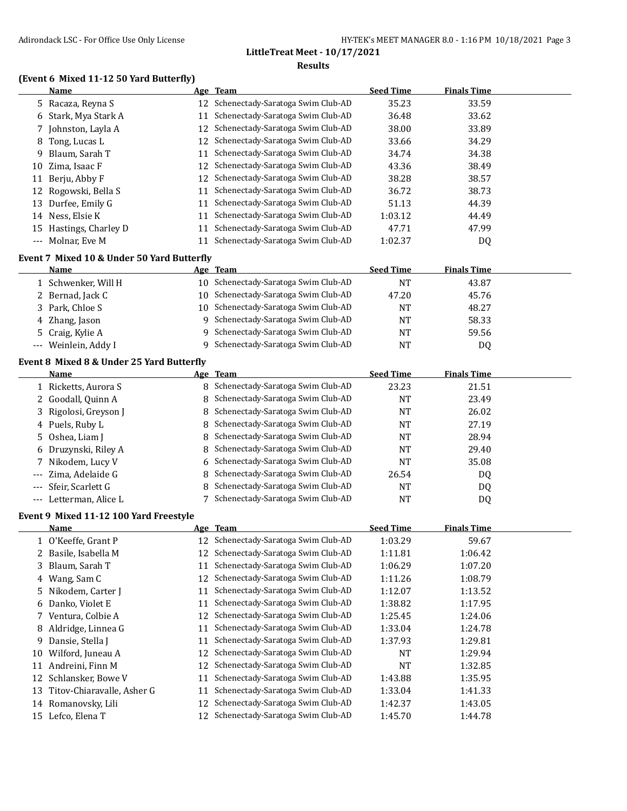#### **(Event 6 Mixed 11-12 50 Yard Butterfly)**

 $\overline{a}$ 

|    | Name                   |    | Age Team                             | <b>Seed Time</b> | <b>Finals Time</b> |  |
|----|------------------------|----|--------------------------------------|------------------|--------------------|--|
|    | 5 Racaza, Reyna S      |    | 12 Schenectady-Saratoga Swim Club-AD | 35.23            | 33.59              |  |
|    | 6 Stark, Mya Stark A   | 11 | Schenectady-Saratoga Swim Club-AD    | 36.48            | 33.62              |  |
|    | Johnston, Layla A      |    | 12 Schenectady-Saratoga Swim Club-AD | 38.00            | 33.89              |  |
| 8  | Tong, Lucas L          |    | 12 Schenectady-Saratoga Swim Club-AD | 33.66            | 34.29              |  |
| 9. | Blaum, Sarah T         | 11 | Schenectady-Saratoga Swim Club-AD    | 34.74            | 34.38              |  |
| 10 | Zima, Isaac F          |    | 12 Schenectady-Saratoga Swim Club-AD | 43.36            | 38.49              |  |
|    | 11 Berju, Abby F       |    | 12 Schenectady-Saratoga Swim Club-AD | 38.28            | 38.57              |  |
|    | 12 Rogowski, Bella S   | 11 | Schenectady-Saratoga Swim Club-AD    | 36.72            | 38.73              |  |
|    | 13 Durfee, Emily G     | 11 | Schenectady-Saratoga Swim Club-AD    | 51.13            | 44.39              |  |
|    | 14 Ness, Elsie K       | 11 | Schenectady-Saratoga Swim Club-AD    | 1:03.12          | 44.49              |  |
|    | 15 Hastings, Charley D | 11 | Schenectady-Saratoga Swim Club-AD    | 47.71            | 47.99              |  |
|    | --- Molnar, Eve M      | 11 | Schenectady-Saratoga Swim Club-AD    | 1:02.37          | DQ                 |  |

#### **Event 7 Mixed 10 & Under 50 Yard Butterfly**

| Name                 | Age Team                             | <b>Seed Time</b> | <b>Finals Time</b> |
|----------------------|--------------------------------------|------------------|--------------------|
| 1) Schwenker, Will H | 10 Schenectady-Saratoga Swim Club-AD | NT               | 43.87              |
| 2 Bernad, Jack C     | 10 Schenectady-Saratoga Swim Club-AD | 47.20            | 45.76              |
| 3 Park, Chloe S      | 10 Schenectady-Saratoga Swim Club-AD | NT               | 48.27              |
| 4 Zhang, Jason       | Schenectady-Saratoga Swim Club-AD    | NT               | 58.33              |
| 5 Craig, Kylie A     | 9 Schenectady-Saratoga Swim Club-AD  | NT               | 59.56              |
| --- Weinlein, Addy I | Schenectady-Saratoga Swim Club-AD    | NT               | DQ                 |

#### **Event 8 Mixed 8 & Under 25 Yard Butterfly**

| Name                   | Age Team                            | <b>Seed Time</b> | <b>Finals Time</b> |  |
|------------------------|-------------------------------------|------------------|--------------------|--|
| 1 Ricketts, Aurora S   | 8 Schenectady-Saratoga Swim Club-AD | 23.23            | 21.51              |  |
| 2 Goodall, Quinn A     | 8 Schenectady-Saratoga Swim Club-AD | NT               | 23.49              |  |
| 3 Rigolosi, Greyson J  | 8 Schenectady-Saratoga Swim Club-AD | NT               | 26.02              |  |
| 4 Puels, Ruby L        | 8 Schenectady-Saratoga Swim Club-AD | NT               | 27.19              |  |
| 5 Oshea, Liam J        | 8 Schenectady-Saratoga Swim Club-AD | NT               | 28.94              |  |
| 6 Druzynski, Riley A   | 8 Schenectady-Saratoga Swim Club-AD | NT               | 29.40              |  |
| 7 Nikodem, Lucy V      | 6 Schenectady-Saratoga Swim Club-AD | NT               | 35.08              |  |
| --- Zima, Adelaide G   | 8 Schenectady-Saratoga Swim Club-AD | 26.54            | DQ                 |  |
| --- Sfeir, Scarlett G  | 8 Schenectady-Saratoga Swim Club-AD | NT               | DQ                 |  |
| --- Letterman, Alice L | 7 Schenectady-Saratoga Swim Club-AD | NT               | DQ                 |  |

#### **Event 9 Mixed 11-12 100 Yard Freestyle**

|    | Name                       |    | Age Team                          | <b>Seed Time</b> | <b>Finals Time</b> |  |
|----|----------------------------|----|-----------------------------------|------------------|--------------------|--|
|    | 1 O'Keeffe, Grant P        | 12 | Schenectady-Saratoga Swim Club-AD | 1:03.29          | 59.67              |  |
|    | 2 Basile, Isabella M       | 12 | Schenectady-Saratoga Swim Club-AD | 1:11.81          | 1:06.42            |  |
|    | 3 Blaum, Sarah T           | 11 | Schenectady-Saratoga Swim Club-AD | 1:06.29          | 1:07.20            |  |
|    | 4 Wang, Sam C              | 12 | Schenectady-Saratoga Swim Club-AD | 1:11.26          | 1:08.79            |  |
|    | 5 Nikodem, Carter J        | 11 | Schenectady-Saratoga Swim Club-AD | 1:12.07          | 1:13.52            |  |
|    | 6 Danko, Violet E          | 11 | Schenectady-Saratoga Swim Club-AD | 1:38.82          | 1:17.95            |  |
|    | 7 Ventura, Colbie A        | 12 | Schenectady-Saratoga Swim Club-AD | 1:25.45          | 1:24.06            |  |
|    | 8 Aldridge, Linnea G       | 11 | Schenectady-Saratoga Swim Club-AD | 1:33.04          | 1:24.78            |  |
| 9. | Dansie, Stella J           | 11 | Schenectady-Saratoga Swim Club-AD | 1:37.93          | 1:29.81            |  |
| 10 | Wilford, Juneau A          | 12 | Schenectady-Saratoga Swim Club-AD | <b>NT</b>        | 1:29.94            |  |
| 11 | Andreini, Finn M           | 12 | Schenectady-Saratoga Swim Club-AD | <b>NT</b>        | 1:32.85            |  |
| 12 | Schlansker, Bowe V         | 11 | Schenectady-Saratoga Swim Club-AD | 1:43.88          | 1:35.95            |  |
| 13 | Titov-Chiaravalle, Asher G | 11 | Schenectady-Saratoga Swim Club-AD | 1:33.04          | 1:41.33            |  |
| 14 | Romanovsky, Lili           | 12 | Schenectady-Saratoga Swim Club-AD | 1:42.37          | 1:43.05            |  |
| 15 | Lefco, Elena T             | 12 | Schenectady-Saratoga Swim Club-AD | 1:45.70          | 1:44.78            |  |
|    |                            |    |                                   |                  |                    |  |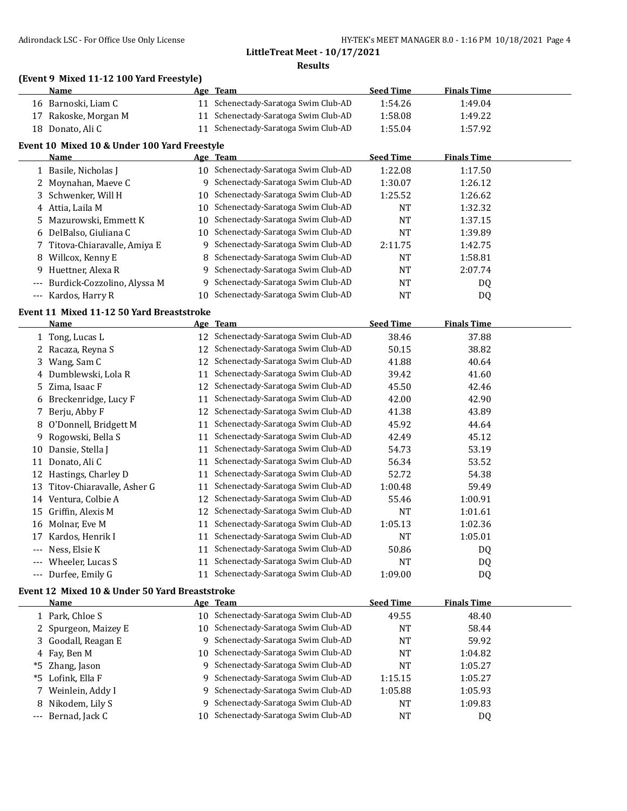#### **(Event 9 Mixed 11-12 100 Yard Freestyle)**

|       | Name                                         |    | Age Team                          | <b>Seed Time</b> | <b>Finals Time</b> |  |
|-------|----------------------------------------------|----|-----------------------------------|------------------|--------------------|--|
| 16    | Barnoski, Liam C                             | 11 | Schenectady-Saratoga Swim Club-AD | 1:54.26          | 1:49.04            |  |
| 17    | Rakoske, Morgan M                            | 11 | Schenectady-Saratoga Swim Club-AD | 1:58.08          | 1:49.22            |  |
| 18    | Donato, Ali C                                | 11 | Schenectady-Saratoga Swim Club-AD | 1:55.04          | 1:57.92            |  |
|       | Event 10 Mixed 10 & Under 100 Yard Freestyle |    |                                   |                  |                    |  |
|       | Name                                         |    | Age Team                          | <b>Seed Time</b> | Finals Time        |  |
|       | 1 Basile, Nicholas J                         | 10 | Schenectady-Saratoga Swim Club-AD | 1:22.08          | 1:17.50            |  |
|       | 2 Moynahan, Maeye C                          | 9  | Schenectady-Saratoga Swim Club-AD | 1:30.07          | 1:26.12            |  |
|       | 3 Schwenker, Will H                          | 10 | Schenectady-Saratoga Swim Club-AD | 1:25.52          | 1:26.62            |  |
|       | 4 Attia, Laila M                             | 10 | Schenectady-Saratoga Swim Club-AD | NT               | 1:32.32            |  |
|       | 5 Mazurowski, Emmett K                       | 10 | Schenectady-Saratoga Swim Club-AD | NT               | 1:37.15            |  |
|       | 6 DelBalso, Giuliana C                       | 10 | Schenectady-Saratoga Swim Club-AD | NT               | 1:39.89            |  |
|       | 7 Titova-Chiaravalle, Amiya E                | 9  | Schenectady-Saratoga Swim Club-AD | 2:11.75          | 1:42.75            |  |
| 8     | Willcox, Kenny E                             | 8  | Schenectady-Saratoga Swim Club-AD | NT               | 1:58.81            |  |
| 9     | Huettner, Alexa R                            | 9  | Schenectady-Saratoga Swim Club-AD | <b>NT</b>        | 2:07.74            |  |
|       | Burdick-Cozzolino, Alyssa M                  | q  | Schenectady-Saratoga Swim Club-AD | NT               | DQ.                |  |
| $---$ | Kardos, Harry R                              | 10 | Schenectady-Saratoga Swim Club-AD | NT               | DQ                 |  |
|       |                                              |    |                                   |                  |                    |  |

#### **Event 11 Mixed 11-12 50 Yard Breaststroke**

|       | <b>Name</b>                |    | Age Team                          | <b>Seed Time</b> | <b>Finals Time</b> |  |
|-------|----------------------------|----|-----------------------------------|------------------|--------------------|--|
|       | 1 Tong, Lucas L            | 12 | Schenectady-Saratoga Swim Club-AD | 38.46            | 37.88              |  |
|       | Racaza, Reyna S            |    | Schenectady-Saratoga Swim Club-AD | 50.15            | 38.82              |  |
| 3.    | Wang, Sam C                | 12 | Schenectady-Saratoga Swim Club-AD | 41.88            | 40.64              |  |
| 4     | Dumblewski, Lola R         | 11 | Schenectady-Saratoga Swim Club-AD | 39.42            | 41.60              |  |
| 5.    | Zima, Isaac F              | 12 | Schenectady-Saratoga Swim Club-AD | 45.50            | 42.46              |  |
| 6     | Breckenridge, Lucy F       | 11 | Schenectady-Saratoga Swim Club-AD | 42.00            | 42.90              |  |
|       | Berju, Abby F              | 12 | Schenectady-Saratoga Swim Club-AD | 41.38            | 43.89              |  |
| 8     | O'Donnell, Bridgett M      | 11 | Schenectady-Saratoga Swim Club-AD | 45.92            | 44.64              |  |
| 9.    | Rogowski, Bella S          | 11 | Schenectady-Saratoga Swim Club-AD | 42.49            | 45.12              |  |
| 10    | Dansie, Stella J           | 11 | Schenectady-Saratoga Swim Club-AD | 54.73            | 53.19              |  |
| 11    | Donato, Ali C              | 11 | Schenectady-Saratoga Swim Club-AD | 56.34            | 53.52              |  |
| 12    | Hastings, Charley D        | 11 | Schenectady-Saratoga Swim Club-AD | 52.72            | 54.38              |  |
| 13    | Titov-Chiaravalle, Asher G | 11 | Schenectady-Saratoga Swim Club-AD | 1:00.48          | 59.49              |  |
| 14    | Ventura, Colbie A          | 12 | Schenectady-Saratoga Swim Club-AD | 55.46            | 1:00.91            |  |
| 15    | Griffin, Alexis M          | 12 | Schenectady-Saratoga Swim Club-AD | NT               | 1:01.61            |  |
| 16    | Molnar, Eve M              | 11 | Schenectady-Saratoga Swim Club-AD | 1:05.13          | 1:02.36            |  |
| 17    | Kardos, Henrik I           | 11 | Schenectady-Saratoga Swim Club-AD | <b>NT</b>        | 1:05.01            |  |
| $---$ | Ness, Elsie K              | 11 | Schenectady-Saratoga Swim Club-AD | 50.86            | DQ                 |  |
| $---$ | Wheeler, Lucas S           | 11 | Schenectady-Saratoga Swim Club-AD | NT               | DQ                 |  |
| ---   | Durfee, Emily G            | 11 | Schenectady-Saratoga Swim Club-AD | 1:09.00          | DQ                 |  |

### **Event 12 Mixed 10 & Under 50 Yard Breaststroke**

| Name                 |    | Age Team                            | <b>Seed Time</b> | <b>Finals Time</b> |  |
|----------------------|----|-------------------------------------|------------------|--------------------|--|
| 1 Park, Chloe S      | 10 | Schenectady-Saratoga Swim Club-AD   | 49.55            | 48.40              |  |
| 2 Spurgeon, Maizey E | 10 | Schenectady-Saratoga Swim Club-AD   | NT               | 58.44              |  |
| 3 Goodall, Reagan E  |    | 9 Schenectady-Saratoga Swim Club-AD | <b>NT</b>        | 59.92              |  |
| 4 Fay, Ben M         | 10 | Schenectady-Saratoga Swim Club-AD   | <b>NT</b>        | 1:04.82            |  |
| *5 Zhang, Jason      |    | 9 Schenectady-Saratoga Swim Club-AD | <b>NT</b>        | 1:05.27            |  |
| *5 Lofink, Ella F    |    | 9 Schenectady-Saratoga Swim Club-AD | 1:15.15          | 1:05.27            |  |
| 7 Weinlein, Addy I   |    | 9 Schenectady-Saratoga Swim Club-AD | 1:05.88          | 1:05.93            |  |
| 8 Nikodem, Lily S    |    | 9 Schenectady-Saratoga Swim Club-AD | NT               | 1:09.83            |  |
| --- Bernad, Jack C   | 10 | Schenectady-Saratoga Swim Club-AD   | <b>NT</b>        | D <sub>0</sub>     |  |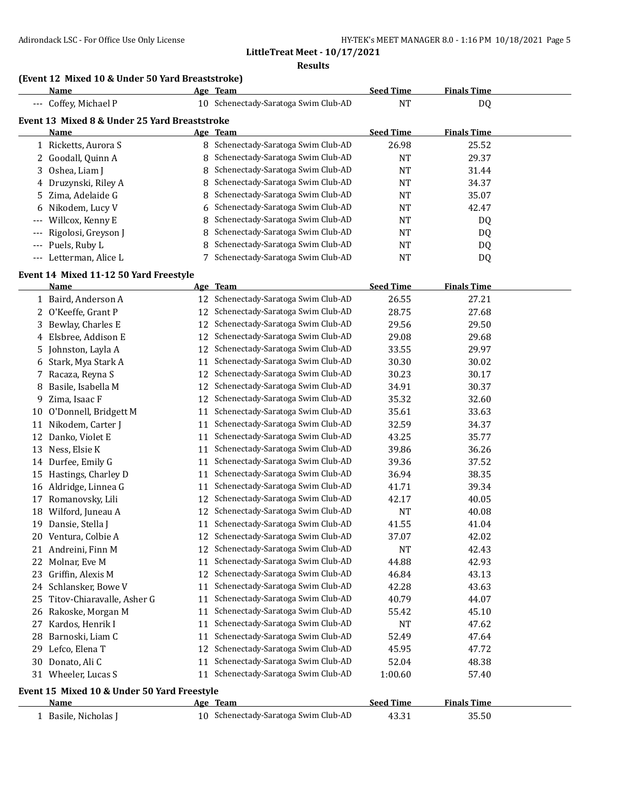**LittleTreat Meet - 10/17/2021**

**Results**

# **(Event 12 Mixed 10 & Under 50 Yard Breaststroke)**

|          | Name                                          |    | Age Team                            | <b>Seed Time</b> | <b>Finals Time</b> |  |
|----------|-----------------------------------------------|----|-------------------------------------|------------------|--------------------|--|
|          | --- Coffey, Michael P                         | 10 | Schenectady-Saratoga Swim Club-AD   | NT               | DQ                 |  |
|          | Event 13 Mixed 8 & Under 25 Yard Breaststroke |    |                                     |                  |                    |  |
|          | Name                                          |    | Age Team                            | <b>Seed Time</b> | <b>Finals Time</b> |  |
|          | 1 Ricketts, Aurora S                          |    | 8 Schenectady-Saratoga Swim Club-AD | 26.98            | 25.52              |  |
|          | 2 Goodall, Quinn A                            |    | 8 Schenectady-Saratoga Swim Club-AD | NT               | 29.37              |  |
|          | 3 Oshea, Liam J                               |    | 8 Schenectady-Saratoga Swim Club-AD | NT               | 31.44              |  |
|          | 4 Druzynski, Riley A                          |    | 8 Schenectady-Saratoga Swim Club-AD | NT               | 34.37              |  |
|          | 5 Zima, Adelaide G                            |    | 8 Schenectady-Saratoga Swim Club-AD | NT               | 35.07              |  |
|          | 6 Nikodem, Lucy V                             |    | 6 Schenectady-Saratoga Swim Club-AD | NT               | 42.47              |  |
| $---$    | Willcox, Kenny E                              |    | 8 Schenectady-Saratoga Swim Club-AD | NT               | DQ                 |  |
|          | --- Rigolosi, Greyson J                       |    | 8 Schenectady-Saratoga Swim Club-AD | NT               | DQ                 |  |
| $---$    | Puels, Ruby L                                 | 8  | Schenectady-Saratoga Swim Club-AD   | NT               | DQ                 |  |
| $\cdots$ | Letterman, Alice L                            |    | Schenectady-Saratoga Swim Club-AD   | NT               | DQ                 |  |

#### **Event 14 Mixed 11-12 50 Yard Freestyle**

|    | <b>Name</b>                                 |    | Age Team                             | <b>Seed Time</b> | <b>Finals Time</b> |  |  |  |
|----|---------------------------------------------|----|--------------------------------------|------------------|--------------------|--|--|--|
|    | 1 Baird, Anderson A                         | 12 | Schenectady-Saratoga Swim Club-AD    | 26.55            | 27.21              |  |  |  |
|    | 2 O'Keeffe, Grant P                         | 12 | Schenectady-Saratoga Swim Club-AD    | 28.75            | 27.68              |  |  |  |
| 3  | Bewlay, Charles E                           | 12 | Schenectady-Saratoga Swim Club-AD    | 29.56            | 29.50              |  |  |  |
|    | 4 Elsbree, Addison E                        | 12 | Schenectady-Saratoga Swim Club-AD    | 29.08            | 29.68              |  |  |  |
| 5. | Johnston, Layla A                           | 12 | Schenectady-Saratoga Swim Club-AD    | 33.55            | 29.97              |  |  |  |
|    | 6 Stark, Mya Stark A                        | 11 | Schenectady-Saratoga Swim Club-AD    | 30.30            | 30.02              |  |  |  |
| 7  | Racaza, Reyna S                             | 12 | Schenectady-Saratoga Swim Club-AD    | 30.23            | 30.17              |  |  |  |
| 8  | Basile, Isabella M                          | 12 | Schenectady-Saratoga Swim Club-AD    | 34.91            | 30.37              |  |  |  |
| 9. | Zima, Isaac F                               | 12 | Schenectady-Saratoga Swim Club-AD    | 35.32            | 32.60              |  |  |  |
| 10 | O'Donnell, Bridgett M                       | 11 | Schenectady-Saratoga Swim Club-AD    | 35.61            | 33.63              |  |  |  |
| 11 | Nikodem, Carter J                           | 11 | Schenectady-Saratoga Swim Club-AD    | 32.59            | 34.37              |  |  |  |
| 12 | Danko, Violet E                             | 11 | Schenectady-Saratoga Swim Club-AD    | 43.25            | 35.77              |  |  |  |
| 13 | Ness, Elsie K                               | 11 | Schenectady-Saratoga Swim Club-AD    | 39.86            | 36.26              |  |  |  |
| 14 | Durfee, Emily G                             | 11 | Schenectady-Saratoga Swim Club-AD    | 39.36            | 37.52              |  |  |  |
| 15 | Hastings, Charley D                         | 11 | Schenectady-Saratoga Swim Club-AD    | 36.94            | 38.35              |  |  |  |
|    | 16 Aldridge, Linnea G                       | 11 | Schenectady-Saratoga Swim Club-AD    | 41.71            | 39.34              |  |  |  |
| 17 | Romanovsky, Lili                            | 12 | Schenectady-Saratoga Swim Club-AD    | 42.17            | 40.05              |  |  |  |
| 18 | Wilford, Juneau A                           | 12 | Schenectady-Saratoga Swim Club-AD    | <b>NT</b>        | 40.08              |  |  |  |
| 19 | Dansie, Stella J                            | 11 | Schenectady-Saratoga Swim Club-AD    | 41.55            | 41.04              |  |  |  |
| 20 | Ventura, Colbie A                           | 12 | Schenectady-Saratoga Swim Club-AD    | 37.07            | 42.02              |  |  |  |
| 21 | Andreini, Finn M                            | 12 | Schenectady-Saratoga Swim Club-AD    | <b>NT</b>        | 42.43              |  |  |  |
| 22 | Molnar, Eve M                               | 11 | Schenectady-Saratoga Swim Club-AD    | 44.88            | 42.93              |  |  |  |
| 23 | Griffin, Alexis M                           | 12 | Schenectady-Saratoga Swim Club-AD    | 46.84            | 43.13              |  |  |  |
| 24 | Schlansker, Bowe V                          | 11 | Schenectady-Saratoga Swim Club-AD    | 42.28            | 43.63              |  |  |  |
| 25 | Titov-Chiaravalle, Asher G                  | 11 | Schenectady-Saratoga Swim Club-AD    | 40.79            | 44.07              |  |  |  |
| 26 | Rakoske, Morgan M                           | 11 | Schenectady-Saratoga Swim Club-AD    | 55.42            | 45.10              |  |  |  |
| 27 | Kardos, Henrik I                            | 11 | Schenectady-Saratoga Swim Club-AD    | <b>NT</b>        | 47.62              |  |  |  |
| 28 | Barnoski, Liam C                            | 11 | Schenectady-Saratoga Swim Club-AD    | 52.49            | 47.64              |  |  |  |
| 29 | Lefco, Elena T                              | 12 | Schenectady-Saratoga Swim Club-AD    | 45.95            | 47.72              |  |  |  |
| 30 | Donato, Ali C                               | 11 | Schenectady-Saratoga Swim Club-AD    | 52.04            | 48.38              |  |  |  |
|    | 31 Wheeler, Lucas S                         |    | 11 Schenectady-Saratoga Swim Club-AD | 1:00.60          | 57.40              |  |  |  |
|    | Event 15 Mixed 10 & Under 50 Yard Freestyle |    |                                      |                  |                    |  |  |  |
|    | Name                                        |    | Age Team                             | <b>Seed Time</b> | <b>Finals Time</b> |  |  |  |
|    | 1 Basile, Nicholas J                        |    | 10 Schenectady-Saratoga Swim Club-AD | 43.31            | 35.50              |  |  |  |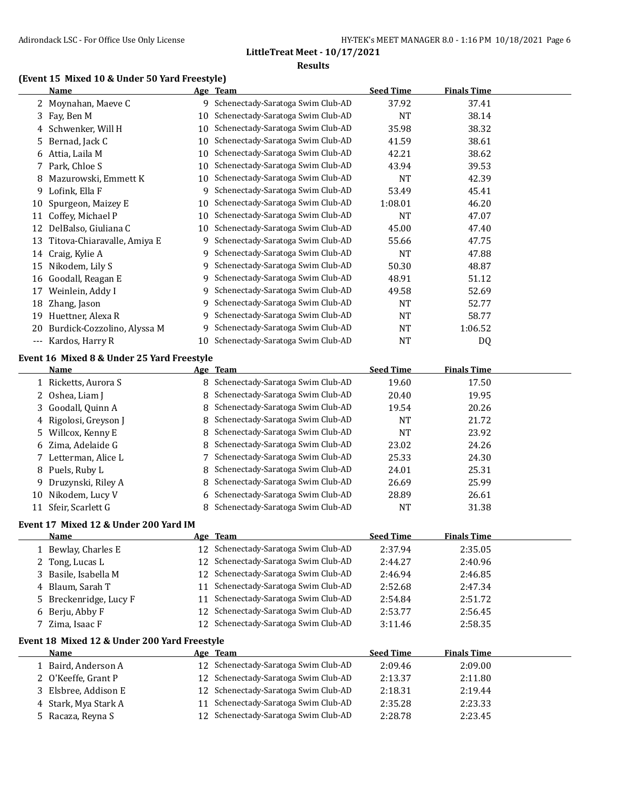### **(Event 15 Mixed 10 & Under 50 Yard Freestyle)**

|                      | <b>Name</b>                                          |    | Age Team                             | <b>Seed Time</b> | <b>Finals Time</b> |  |  |  |
|----------------------|------------------------------------------------------|----|--------------------------------------|------------------|--------------------|--|--|--|
|                      | 2 Moynahan, Maeve C                                  |    | 9 Schenectady-Saratoga Swim Club-AD  | 37.92            | 37.41              |  |  |  |
| 3                    | Fay, Ben M                                           | 10 | Schenectady-Saratoga Swim Club-AD    | <b>NT</b>        | 38.14              |  |  |  |
| 4                    | Schwenker, Will H                                    | 10 | Schenectady-Saratoga Swim Club-AD    | 35.98            | 38.32              |  |  |  |
| 5                    | Bernad, Jack C                                       | 10 | Schenectady-Saratoga Swim Club-AD    | 41.59            | 38.61              |  |  |  |
| 6                    | Attia, Laila M                                       | 10 | Schenectady-Saratoga Swim Club-AD    | 42.21            | 38.62              |  |  |  |
| 7                    | Park, Chloe S                                        | 10 | Schenectady-Saratoga Swim Club-AD    | 43.94            | 39.53              |  |  |  |
| 8                    | Mazurowski, Emmett K                                 | 10 | Schenectady-Saratoga Swim Club-AD    | NT               | 42.39              |  |  |  |
| 9                    | Lofink, Ella F                                       | 9  | Schenectady-Saratoga Swim Club-AD    | 53.49            | 45.41              |  |  |  |
| 10                   | Spurgeon, Maizey E                                   | 10 | Schenectady-Saratoga Swim Club-AD    | 1:08.01          | 46.20              |  |  |  |
| 11                   | Coffey, Michael P                                    | 10 | Schenectady-Saratoga Swim Club-AD    | <b>NT</b>        | 47.07              |  |  |  |
| 12                   | DelBalso, Giuliana C                                 | 10 | Schenectady-Saratoga Swim Club-AD    | 45.00            | 47.40              |  |  |  |
| 13                   | Titova-Chiaravalle, Amiya E                          | 9  | Schenectady-Saratoga Swim Club-AD    | 55.66            | 47.75              |  |  |  |
| 14                   | Craig, Kylie A                                       | 9  | Schenectady-Saratoga Swim Club-AD    | <b>NT</b>        | 47.88              |  |  |  |
| 15                   | Nikodem, Lily S                                      | 9  | Schenectady-Saratoga Swim Club-AD    | 50.30            | 48.87              |  |  |  |
| 16                   | Goodall, Reagan E                                    | 9  | Schenectady-Saratoga Swim Club-AD    | 48.91            | 51.12              |  |  |  |
| 17                   | Weinlein, Addy I                                     | 9  | Schenectady-Saratoga Swim Club-AD    | 49.58            | 52.69              |  |  |  |
| 18                   | Zhang, Jason                                         | 9  | Schenectady-Saratoga Swim Club-AD    | <b>NT</b>        | 52.77              |  |  |  |
| 19                   | Huettner, Alexa R                                    | 9  | Schenectady-Saratoga Swim Club-AD    | <b>NT</b>        | 58.77              |  |  |  |
| 20                   | Burdick-Cozzolino, Alyssa M                          | 9  | Schenectady-Saratoga Swim Club-AD    | NT               | 1:06.52            |  |  |  |
| $\scriptstyle\cdots$ | Kardos, Harry R                                      | 10 | Schenectady-Saratoga Swim Club-AD    | <b>NT</b>        | DQ                 |  |  |  |
|                      | Event 16 Mixed 8 & Under 25 Yard Freestyle           |    |                                      |                  |                    |  |  |  |
|                      | Name                                                 |    | Age Team                             | <b>Seed Time</b> | <b>Finals Time</b> |  |  |  |
|                      | 1 Ricketts, Aurora S                                 |    | 8 Schenectady-Saratoga Swim Club-AD  | 19.60            | 17.50              |  |  |  |
| 2                    | Oshea, Liam J                                        | 8  | Schenectady-Saratoga Swim Club-AD    | 20.40            | 19.95              |  |  |  |
| 3                    | Goodall, Quinn A                                     | 8  | Schenectady-Saratoga Swim Club-AD    | 19.54            | 20.26              |  |  |  |
| 4                    | Rigolosi, Greyson J                                  | 8  | Schenectady-Saratoga Swim Club-AD    | <b>NT</b>        | 21.72              |  |  |  |
| 5                    | Willcox, Kenny E                                     | 8  | Schenectady-Saratoga Swim Club-AD    | <b>NT</b>        | 23.92              |  |  |  |
| 6                    | Zima, Adelaide G                                     | 8  | Schenectady-Saratoga Swim Club-AD    | 23.02            | 24.26              |  |  |  |
| 7                    | Letterman, Alice L                                   | 7  | Schenectady-Saratoga Swim Club-AD    | 25.33            | 24.30              |  |  |  |
| 8                    | Puels, Ruby L                                        | 8  | Schenectady-Saratoga Swim Club-AD    | 24.01            | 25.31              |  |  |  |
| 9                    | Druzynski, Riley A                                   | 8  | Schenectady-Saratoga Swim Club-AD    | 26.69            | 25.99              |  |  |  |
| 10                   | Nikodem, Lucy V                                      | 6  | Schenectady-Saratoga Swim Club-AD    | 28.89            | 26.61              |  |  |  |
|                      | 11 Sfeir, Scarlett G                                 | 8  | Schenectady-Saratoga Swim Club-AD    | <b>NT</b>        | 31.38              |  |  |  |
|                      | Event 17 Mixed 12 & Under 200 Yard IM                |    |                                      |                  |                    |  |  |  |
|                      | <b>Name</b>                                          |    | Age Team                             | <b>Seed Time</b> | <b>Finals Time</b> |  |  |  |
|                      | 1 Bewlay, Charles E                                  |    | 12 Schenectady-Saratoga Swim Club-AD | 2:37.94          | 2:35.05            |  |  |  |
| 2                    | Tong, Lucas L                                        | 12 | Schenectady-Saratoga Swim Club-AD    | 2:44.27          | 2:40.96            |  |  |  |
| 3                    | Basile, Isabella M                                   | 12 | Schenectady-Saratoga Swim Club-AD    | 2:46.94          | 2:46.85            |  |  |  |
| 4                    | Blaum, Sarah T                                       | 11 | Schenectady-Saratoga Swim Club-AD    | 2:52.68          | 2:47.34            |  |  |  |
| 5                    | Breckenridge, Lucy F                                 | 11 | Schenectady-Saratoga Swim Club-AD    | 2:54.84          | 2:51.72            |  |  |  |
| 6                    | Berju, Abby F                                        | 12 | Schenectady-Saratoga Swim Club-AD    | 2:53.77          | 2:56.45            |  |  |  |
| 7                    | Zima, Isaac F                                        | 12 | Schenectady-Saratoga Swim Club-AD    | 3:11.46          | 2:58.35            |  |  |  |
|                      |                                                      |    |                                      |                  |                    |  |  |  |
|                      | Event 18 Mixed 12 & Under 200 Yard Freestyle<br>Name |    | Age Team                             | <b>Seed Time</b> | <b>Finals Time</b> |  |  |  |
|                      | 1 Baird, Anderson A                                  | 12 | Schenectady-Saratoga Swim Club-AD    | 2:09.46          | 2:09.00            |  |  |  |
| 2                    | O'Keeffe, Grant P                                    | 12 | Schenectady-Saratoga Swim Club-AD    | 2:13.37          | 2:11.80            |  |  |  |
| 3                    | Elsbree, Addison E                                   | 12 | Schenectady-Saratoga Swim Club-AD    | 2:18.31          | 2:19.44            |  |  |  |
|                      | Stark, Mya Stark A                                   | 11 | Schenectady-Saratoga Swim Club-AD    | 2:35.28          | 2:23.33            |  |  |  |
| 4<br>5               | Racaza, Reyna S                                      | 12 | Schenectady-Saratoga Swim Club-AD    | 2:28.78          | 2:23.45            |  |  |  |
|                      |                                                      |    |                                      |                  |                    |  |  |  |